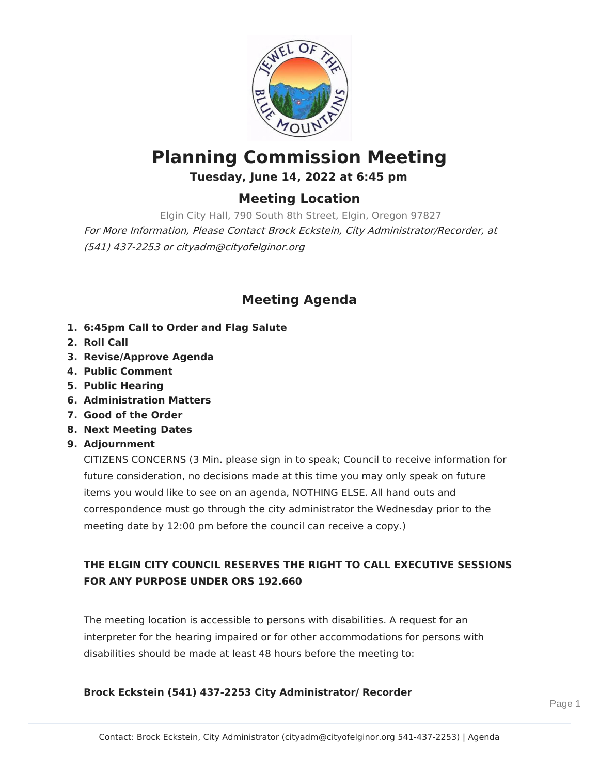

# **Planning Commission Meeting Tuesday, June 14, 2022 at 6:45 pm**

### **Meeting Location**

Elgin City Hall, 790 South 8th Street, Elgin, Oregon 97827 For More Information, Please Contact Brock Eckstein, City Administrator/Recorder, at (541) 437-2253 or cityadm@cityofelginor.org

## **Meeting Agenda**

- **1. 6:45pm Call to Order and Flag Salute**
- **2. Roll Call**
- **3. Revise/Approve Agenda**
- **4. Public Comment**
- **5. Public Hearing**
- **6. Administration Matters**
- **7. Good of the Order**
- **8. Next Meeting Dates**
- **9. Adjournment**

CITIZENS CONCERNS (3 Min. please sign in to speak; Council to receive information for future consideration, no decisions made at this time you may only speak on future items you would like to see on an agenda, NOTHING ELSE. All hand outs and correspondence must go through the city administrator the Wednesday prior to the meeting date by 12:00 pm before the council can receive a copy.)

#### **THE ELGIN CITY COUNCIL RESERVES THE RIGHT TO CALL EXECUTIVE SESSIONS FOR ANY PURPOSE UNDER ORS 192.660**

The meeting location is accessible to persons with disabilities. A request for an interpreter for the hearing impaired or for other accommodations for persons with disabilities should be made at least 48 hours before the meeting to:

#### **Brock Eckstein (541) 437-2253 City Administrator/ Recorder**